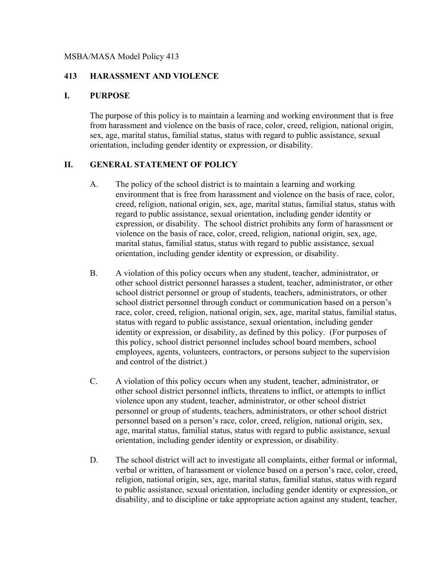#### MSBA/MASA Model Policy 413

#### **413 HARASSMENT AND VIOLENCE**

#### **I. PURPOSE**

The purpose of this policy is to maintain a learning and working environment that is free from harassment and violence on the basis of race, color, creed, religion, national origin, sex, age, marital status, familial status, status with regard to public assistance, sexual orientation, including gender identity or expression, or disability.

#### **II. GENERAL STATEMENT OF POLICY**

- A. The policy of the school district is to maintain a learning and working environment that is free from harassment and violence on the basis of race, color, creed, religion, national origin, sex, age, marital status, familial status, status with regard to public assistance, sexual orientation, including gender identity or expression, or disability. The school district prohibits any form of harassment or violence on the basis of race, color, creed, religion, national origin, sex, age, marital status, familial status, status with regard to public assistance, sexual orientation, including gender identity or expression, or disability.
- B. A violation of this policy occurs when any student, teacher, administrator, or other school district personnel harasses a student, teacher, administrator, or other school district personnel or group of students, teachers, administrators, or other school district personnel through conduct or communication based on a person's race, color, creed, religion, national origin, sex, age, marital status, familial status, status with regard to public assistance, sexual orientation, including gender identity or expression, or disability, as defined by this policy. (For purposes of this policy, school district personnel includes school board members, school employees, agents, volunteers, contractors, or persons subject to the supervision and control of the district.)
- C. A violation of this policy occurs when any student, teacher, administrator, or other school district personnel inflicts, threatens to inflict, or attempts to inflict violence upon any student, teacher, administrator, or other school district personnel or group of students, teachers, administrators, or other school district personnel based on a person's race, color, creed, religion, national origin, sex, age, marital status, familial status, status with regard to public assistance, sexual orientation, including gender identity or expression, or disability.
- D. The school district will act to investigate all complaints, either formal or informal, verbal or written, of harassment or violence based on a person's race, color, creed, religion, national origin, sex, age, marital status, familial status, status with regard to public assistance, sexual orientation, including gender identity or expression, or disability, and to discipline or take appropriate action against any student, teacher,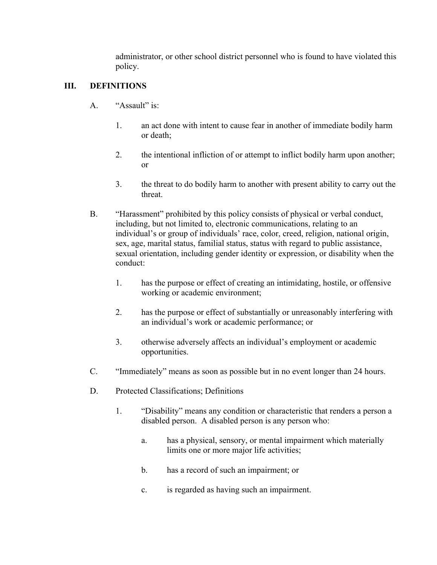administrator, or other school district personnel who is found to have violated this policy.

# **III. DEFINITIONS**

- A. "Assault" is:
	- 1. an act done with intent to cause fear in another of immediate bodily harm or death;
	- 2. the intentional infliction of or attempt to inflict bodily harm upon another; or
	- 3. the threat to do bodily harm to another with present ability to carry out the threat.
- B. "Harassment" prohibited by this policy consists of physical or verbal conduct, including, but not limited to, electronic communications, relating to an individual's or group of individuals' race, color, creed, religion, national origin, sex, age, marital status, familial status, status with regard to public assistance, sexual orientation, including gender identity or expression, or disability when the conduct:
	- 1. has the purpose or effect of creating an intimidating, hostile, or offensive working or academic environment;
	- 2. has the purpose or effect of substantially or unreasonably interfering with an individual's work or academic performance; or
	- 3. otherwise adversely affects an individual's employment or academic opportunities.
- C. "Immediately" means as soon as possible but in no event longer than 24 hours.
- D. Protected Classifications; Definitions
	- 1. "Disability" means any condition or characteristic that renders a person a disabled person. A disabled person is any person who:
		- a. has a physical, sensory, or mental impairment which materially limits one or more major life activities;
		- b. has a record of such an impairment; or
		- c. is regarded as having such an impairment.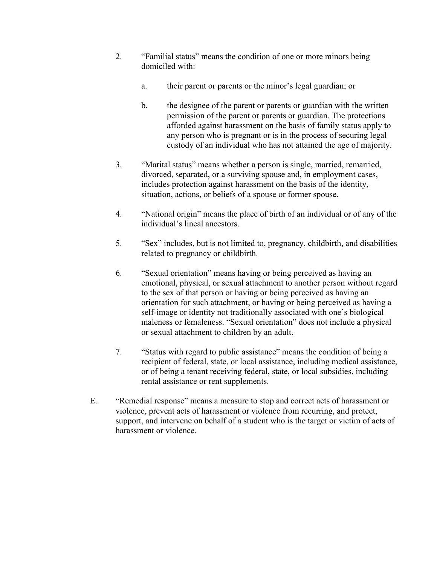- 2. "Familial status" means the condition of one or more minors being domiciled with:
	- a. their parent or parents or the minor's legal guardian; or
	- b. the designee of the parent or parents or guardian with the written permission of the parent or parents or guardian. The protections afforded against harassment on the basis of family status apply to any person who is pregnant or is in the process of securing legal custody of an individual who has not attained the age of majority.
- 3. "Marital status" means whether a person is single, married, remarried, divorced, separated, or a surviving spouse and, in employment cases, includes protection against harassment on the basis of the identity, situation, actions, or beliefs of a spouse or former spouse.
- 4. "National origin" means the place of birth of an individual or of any of the individual's lineal ancestors.
- 5. "Sex" includes, but is not limited to, pregnancy, childbirth, and disabilities related to pregnancy or childbirth.
- 6. "Sexual orientation" means having or being perceived as having an emotional, physical, or sexual attachment to another person without regard to the sex of that person or having or being perceived as having an orientation for such attachment, or having or being perceived as having a self-image or identity not traditionally associated with one's biological maleness or femaleness. "Sexual orientation" does not include a physical or sexual attachment to children by an adult.
- 7. "Status with regard to public assistance" means the condition of being a recipient of federal, state, or local assistance, including medical assistance, or of being a tenant receiving federal, state, or local subsidies, including rental assistance or rent supplements.
- E. "Remedial response" means a measure to stop and correct acts of harassment or violence, prevent acts of harassment or violence from recurring, and protect, support, and intervene on behalf of a student who is the target or victim of acts of harassment or violence.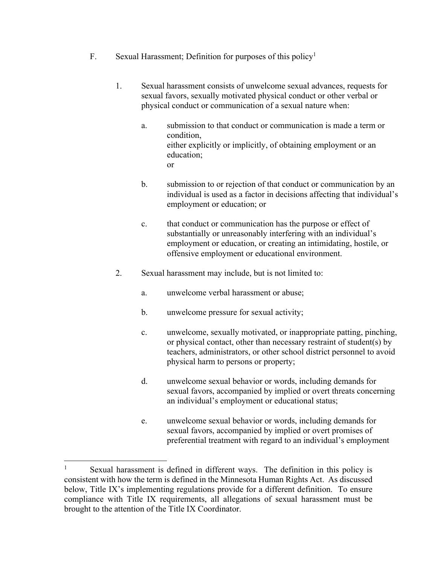- F. Sexual Harassment; Definition for purposes of this policy<sup>1</sup>
	- 1. Sexual harassment consists of unwelcome sexual advances, requests for sexual favors, sexually motivated physical conduct or other verbal or physical conduct or communication of a sexual nature when:
		- a. submission to that conduct or communication is made a term or condition, either explicitly or implicitly, of obtaining employment or an education; or
		- b. submission to or rejection of that conduct or communication by an individual is used as a factor in decisions affecting that individual's employment or education; or
		- c. that conduct or communication has the purpose or effect of substantially or unreasonably interfering with an individual's employment or education, or creating an intimidating, hostile, or offensive employment or educational environment.
	- 2. Sexual harassment may include, but is not limited to:
		- a. unwelcome verbal harassment or abuse;
		- b. unwelcome pressure for sexual activity;
		- c. unwelcome, sexually motivated, or inappropriate patting, pinching, or physical contact, other than necessary restraint of student(s) by teachers, administrators, or other school district personnel to avoid physical harm to persons or property;
		- d. unwelcome sexual behavior or words, including demands for sexual favors, accompanied by implied or overt threats concerning an individual's employment or educational status;
		- e. unwelcome sexual behavior or words, including demands for sexual favors, accompanied by implied or overt promises of preferential treatment with regard to an individual's employment

 

<sup>&</sup>lt;sup>1</sup> Sexual harassment is defined in different ways. The definition in this policy is consistent with how the term is defined in the Minnesota Human Rights Act. As discussed below, Title IX's implementing regulations provide for a different definition. To ensure compliance with Title IX requirements, all allegations of sexual harassment must be brought to the attention of the Title IX Coordinator.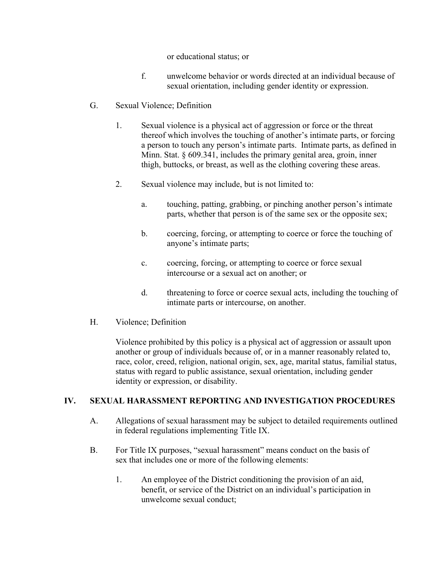or educational status; or

- f. unwelcome behavior or words directed at an individual because of sexual orientation, including gender identity or expression.
- G. Sexual Violence; Definition
	- 1. Sexual violence is a physical act of aggression or force or the threat thereof which involves the touching of another's intimate parts, or forcing a person to touch any person's intimate parts. Intimate parts, as defined in Minn. Stat. § 609.341, includes the primary genital area, groin, inner thigh, buttocks, or breast, as well as the clothing covering these areas.
	- 2. Sexual violence may include, but is not limited to:
		- a. touching, patting, grabbing, or pinching another person's intimate parts, whether that person is of the same sex or the opposite sex;
		- b. coercing, forcing, or attempting to coerce or force the touching of anyone's intimate parts;
		- c. coercing, forcing, or attempting to coerce or force sexual intercourse or a sexual act on another; or
		- d. threatening to force or coerce sexual acts, including the touching of intimate parts or intercourse, on another.
- H. Violence; Definition

Violence prohibited by this policy is a physical act of aggression or assault upon another or group of individuals because of, or in a manner reasonably related to, race, color, creed, religion, national origin, sex, age, marital status, familial status, status with regard to public assistance, sexual orientation, including gender identity or expression, or disability.

### **IV. SEXUAL HARASSMENT REPORTING AND INVESTIGATION PROCEDURES**

- A. Allegations of sexual harassment may be subject to detailed requirements outlined in federal regulations implementing Title IX.
- B. For Title IX purposes, "sexual harassment" means conduct on the basis of sex that includes one or more of the following elements:
	- 1. An employee of the District conditioning the provision of an aid, benefit, or service of the District on an individual's participation in unwelcome sexual conduct;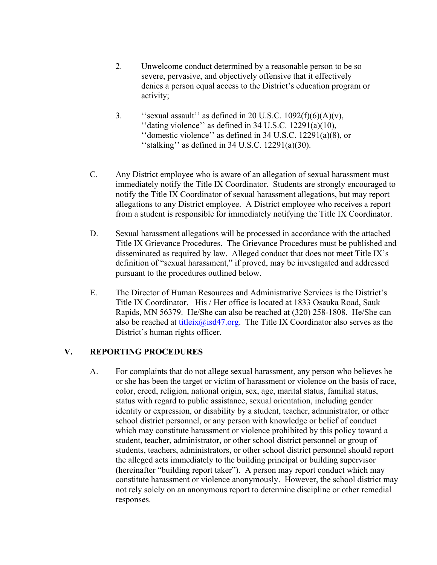- 2. Unwelcome conduct determined by a reasonable person to be so severe, pervasive, and objectively offensive that it effectively denies a person equal access to the District's education program or activity;
- 3. ''sexual assault'' as defined in 20 U.S.C.  $1092(f)(6)(A)(v)$ , "dating violence" as defined in  $34$  U.S.C.  $12291(a)(10)$ , ''domestic violence'' as defined in 34 U.S.C. 12291(a)(8), or ''stalking'' as defined in 34 U.S.C. 12291(a)(30).
- C. Any District employee who is aware of an allegation of sexual harassment must immediately notify the Title IX Coordinator. Students are strongly encouraged to notify the Title IX Coordinator of sexual harassment allegations, but may report allegations to any District employee. A District employee who receives a report from a student is responsible for immediately notifying the Title IX Coordinator.
- D. Sexual harassment allegations will be processed in accordance with the attached Title IX Grievance Procedures. The Grievance Procedures must be published and disseminated as required by law. Alleged conduct that does not meet Title IX's definition of "sexual harassment," if proved, may be investigated and addressed pursuant to the procedures outlined below.
- E. The Director of Human Resources and Administrative Services is the District's Title IX Coordinator. His / Her office is located at 1833 Osauka Road, Sauk Rapids, MN 56379. He/She can also be reached at (320) 258-1808. He/She can also be reached at titleix $\omega$ isd47.org. The Title IX Coordinator also serves as the District's human rights officer.

### **V. REPORTING PROCEDURES**

A. For complaints that do not allege sexual harassment, any person who believes he or she has been the target or victim of harassment or violence on the basis of race, color, creed, religion, national origin, sex, age, marital status, familial status, status with regard to public assistance, sexual orientation, including gender identity or expression, or disability by a student, teacher, administrator, or other school district personnel, or any person with knowledge or belief of conduct which may constitute harassment or violence prohibited by this policy toward a student, teacher, administrator, or other school district personnel or group of students, teachers, administrators, or other school district personnel should report the alleged acts immediately to the building principal or building supervisor (hereinafter "building report taker"). A person may report conduct which may constitute harassment or violence anonymously. However, the school district may not rely solely on an anonymous report to determine discipline or other remedial responses.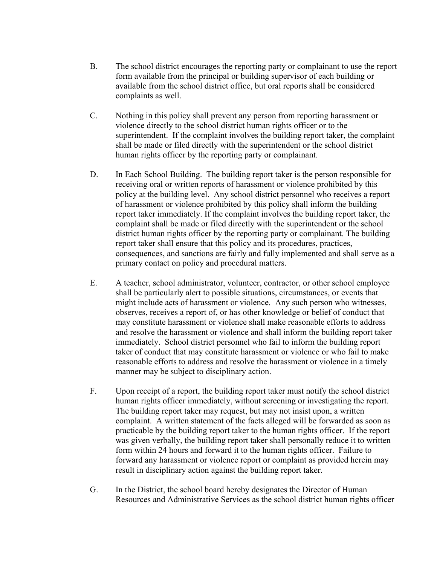- B. The school district encourages the reporting party or complainant to use the report form available from the principal or building supervisor of each building or available from the school district office, but oral reports shall be considered complaints as well.
- C. Nothing in this policy shall prevent any person from reporting harassment or violence directly to the school district human rights officer or to the superintendent. If the complaint involves the building report taker, the complaint shall be made or filed directly with the superintendent or the school district human rights officer by the reporting party or complainant.
- D. In Each School Building. The building report taker is the person responsible for receiving oral or written reports of harassment or violence prohibited by this policy at the building level. Any school district personnel who receives a report of harassment or violence prohibited by this policy shall inform the building report taker immediately. If the complaint involves the building report taker, the complaint shall be made or filed directly with the superintendent or the school district human rights officer by the reporting party or complainant. The building report taker shall ensure that this policy and its procedures, practices, consequences, and sanctions are fairly and fully implemented and shall serve as a primary contact on policy and procedural matters.
- E. A teacher, school administrator, volunteer, contractor, or other school employee shall be particularly alert to possible situations, circumstances, or events that might include acts of harassment or violence. Any such person who witnesses, observes, receives a report of, or has other knowledge or belief of conduct that may constitute harassment or violence shall make reasonable efforts to address and resolve the harassment or violence and shall inform the building report taker immediately. School district personnel who fail to inform the building report taker of conduct that may constitute harassment or violence or who fail to make reasonable efforts to address and resolve the harassment or violence in a timely manner may be subject to disciplinary action.
- F. Upon receipt of a report, the building report taker must notify the school district human rights officer immediately, without screening or investigating the report. The building report taker may request, but may not insist upon, a written complaint. A written statement of the facts alleged will be forwarded as soon as practicable by the building report taker to the human rights officer. If the report was given verbally, the building report taker shall personally reduce it to written form within 24 hours and forward it to the human rights officer. Failure to forward any harassment or violence report or complaint as provided herein may result in disciplinary action against the building report taker.
- G. In the District, the school board hereby designates the Director of Human Resources and Administrative Services as the school district human rights officer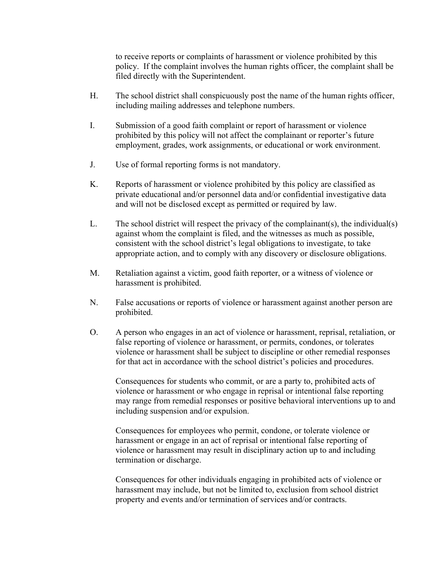to receive reports or complaints of harassment or violence prohibited by this policy. If the complaint involves the human rights officer, the complaint shall be filed directly with the Superintendent.

- H. The school district shall conspicuously post the name of the human rights officer, including mailing addresses and telephone numbers.
- I. Submission of a good faith complaint or report of harassment or violence prohibited by this policy will not affect the complainant or reporter's future employment, grades, work assignments, or educational or work environment.
- J. Use of formal reporting forms is not mandatory.
- K. Reports of harassment or violence prohibited by this policy are classified as private educational and/or personnel data and/or confidential investigative data and will not be disclosed except as permitted or required by law.
- L. The school district will respect the privacy of the complainant(s), the individual(s) against whom the complaint is filed, and the witnesses as much as possible, consistent with the school district's legal obligations to investigate, to take appropriate action, and to comply with any discovery or disclosure obligations.
- M. Retaliation against a victim, good faith reporter, or a witness of violence or harassment is prohibited.
- N. False accusations or reports of violence or harassment against another person are prohibited.
- O. A person who engages in an act of violence or harassment, reprisal, retaliation, or false reporting of violence or harassment, or permits, condones, or tolerates violence or harassment shall be subject to discipline or other remedial responses for that act in accordance with the school district's policies and procedures.

Consequences for students who commit, or are a party to, prohibited acts of violence or harassment or who engage in reprisal or intentional false reporting may range from remedial responses or positive behavioral interventions up to and including suspension and/or expulsion.

Consequences for employees who permit, condone, or tolerate violence or harassment or engage in an act of reprisal or intentional false reporting of violence or harassment may result in disciplinary action up to and including termination or discharge.

Consequences for other individuals engaging in prohibited acts of violence or harassment may include, but not be limited to, exclusion from school district property and events and/or termination of services and/or contracts.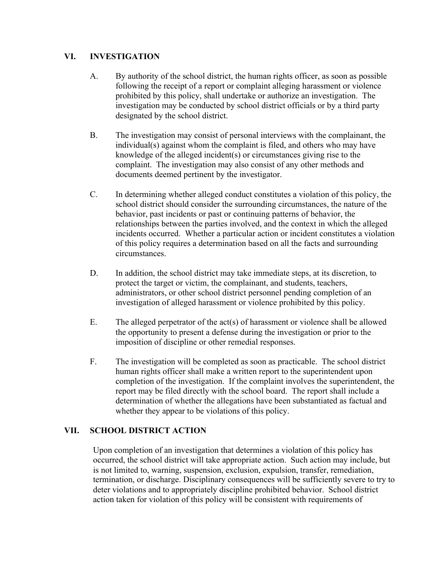# **VI. INVESTIGATION**

- A. By authority of the school district, the human rights officer, as soon as possible following the receipt of a report or complaint alleging harassment or violence prohibited by this policy, shall undertake or authorize an investigation. The investigation may be conducted by school district officials or by a third party designated by the school district.
- B. The investigation may consist of personal interviews with the complainant, the individual(s) against whom the complaint is filed, and others who may have knowledge of the alleged incident(s) or circumstances giving rise to the complaint. The investigation may also consist of any other methods and documents deemed pertinent by the investigator.
- C. In determining whether alleged conduct constitutes a violation of this policy, the school district should consider the surrounding circumstances, the nature of the behavior, past incidents or past or continuing patterns of behavior, the relationships between the parties involved, and the context in which the alleged incidents occurred. Whether a particular action or incident constitutes a violation of this policy requires a determination based on all the facts and surrounding circumstances.
- D. In addition, the school district may take immediate steps, at its discretion, to protect the target or victim, the complainant, and students, teachers, administrators, or other school district personnel pending completion of an investigation of alleged harassment or violence prohibited by this policy.
- E. The alleged perpetrator of the act(s) of harassment or violence shall be allowed the opportunity to present a defense during the investigation or prior to the imposition of discipline or other remedial responses.
- F. The investigation will be completed as soon as practicable. The school district human rights officer shall make a written report to the superintendent upon completion of the investigation. If the complaint involves the superintendent, the report may be filed directly with the school board. The report shall include a determination of whether the allegations have been substantiated as factual and whether they appear to be violations of this policy.

# **VII. SCHOOL DISTRICT ACTION**

Upon completion of an investigation that determines a violation of this policy has occurred, the school district will take appropriate action. Such action may include, but is not limited to, warning, suspension, exclusion, expulsion, transfer, remediation, termination, or discharge. Disciplinary consequences will be sufficiently severe to try to deter violations and to appropriately discipline prohibited behavior. School district action taken for violation of this policy will be consistent with requirements of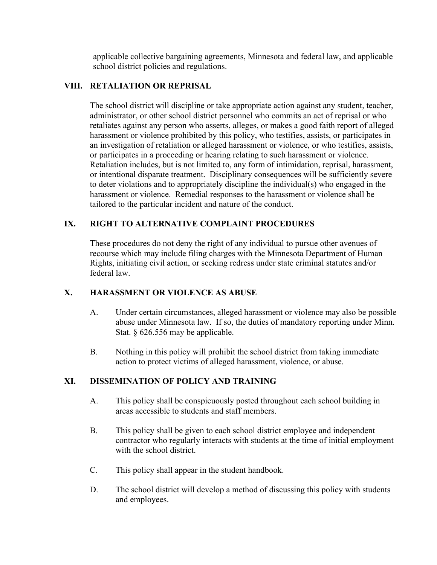applicable collective bargaining agreements, Minnesota and federal law, and applicable school district policies and regulations.

# **VIII. RETALIATION OR REPRISAL**

The school district will discipline or take appropriate action against any student, teacher, administrator, or other school district personnel who commits an act of reprisal or who retaliates against any person who asserts, alleges, or makes a good faith report of alleged harassment or violence prohibited by this policy, who testifies, assists, or participates in an investigation of retaliation or alleged harassment or violence, or who testifies, assists, or participates in a proceeding or hearing relating to such harassment or violence. Retaliation includes, but is not limited to, any form of intimidation, reprisal, harassment, or intentional disparate treatment. Disciplinary consequences will be sufficiently severe to deter violations and to appropriately discipline the individual(s) who engaged in the harassment or violence. Remedial responses to the harassment or violence shall be tailored to the particular incident and nature of the conduct.

# **IX. RIGHT TO ALTERNATIVE COMPLAINT PROCEDURES**

These procedures do not deny the right of any individual to pursue other avenues of recourse which may include filing charges with the Minnesota Department of Human Rights, initiating civil action, or seeking redress under state criminal statutes and/or federal law.

### **X. HARASSMENT OR VIOLENCE AS ABUSE**

- A. Under certain circumstances, alleged harassment or violence may also be possible abuse under Minnesota law. If so, the duties of mandatory reporting under Minn. Stat. § 626.556 may be applicable.
- B. Nothing in this policy will prohibit the school district from taking immediate action to protect victims of alleged harassment, violence, or abuse.

### **XI. DISSEMINATION OF POLICY AND TRAINING**

- A. This policy shall be conspicuously posted throughout each school building in areas accessible to students and staff members.
- B. This policy shall be given to each school district employee and independent contractor who regularly interacts with students at the time of initial employment with the school district.
- C. This policy shall appear in the student handbook.
- D. The school district will develop a method of discussing this policy with students and employees.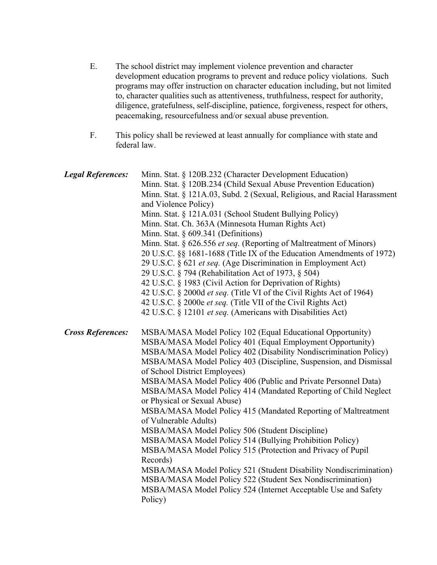- E. The school district may implement violence prevention and character development education programs to prevent and reduce policy violations. Such programs may offer instruction on character education including, but not limited to, character qualities such as attentiveness, truthfulness, respect for authority, diligence, gratefulness, self-discipline, patience, forgiveness, respect for others, peacemaking, resourcefulness and/or sexual abuse prevention.
- F. This policy shall be reviewed at least annually for compliance with state and federal law.

| <b>Legal References:</b> | Minn. Stat. § 120B.232 (Character Development Education)<br>Minn. Stat. § 120B.234 (Child Sexual Abuse Prevention Education)<br>Minn. Stat. § 121A.03, Subd. 2 (Sexual, Religious, and Racial Harassment<br>and Violence Policy)<br>Minn. Stat. § 121A.031 (School Student Bullying Policy)<br>Minn. Stat. Ch. 363A (Minnesota Human Rights Act)<br>Minn. Stat. § 609.341 (Definitions)<br>Minn. Stat. § 626.556 et seq. (Reporting of Maltreatment of Minors)<br>20 U.S.C. §§ 1681-1688 (Title IX of the Education Amendments of 1972)<br>29 U.S.C. § 621 et seq. (Age Discrimination in Employment Act)<br>29 U.S.C. § 794 (Rehabilitation Act of 1973, § 504)<br>42 U.S.C. § 1983 (Civil Action for Deprivation of Rights)<br>42 U.S.C. § 2000d et seq. (Title VI of the Civil Rights Act of 1964)<br>42 U.S.C. § 2000e et seq. (Title VII of the Civil Rights Act)<br>42 U.S.C. § 12101 et seq. (Americans with Disabilities Act)                                       |
|--------------------------|-----------------------------------------------------------------------------------------------------------------------------------------------------------------------------------------------------------------------------------------------------------------------------------------------------------------------------------------------------------------------------------------------------------------------------------------------------------------------------------------------------------------------------------------------------------------------------------------------------------------------------------------------------------------------------------------------------------------------------------------------------------------------------------------------------------------------------------------------------------------------------------------------------------------------------------------------------------------------------|
| <b>Cross References:</b> | MSBA/MASA Model Policy 102 (Equal Educational Opportunity)<br>MSBA/MASA Model Policy 401 (Equal Employment Opportunity)<br>MSBA/MASA Model Policy 402 (Disability Nondiscrimination Policy)<br>MSBA/MASA Model Policy 403 (Discipline, Suspension, and Dismissal<br>of School District Employees)<br>MSBA/MASA Model Policy 406 (Public and Private Personnel Data)<br>MSBA/MASA Model Policy 414 (Mandated Reporting of Child Neglect<br>or Physical or Sexual Abuse)<br>MSBA/MASA Model Policy 415 (Mandated Reporting of Maltreatment<br>of Vulnerable Adults)<br>MSBA/MASA Model Policy 506 (Student Discipline)<br>MSBA/MASA Model Policy 514 (Bullying Prohibition Policy)<br>MSBA/MASA Model Policy 515 (Protection and Privacy of Pupil<br>Records)<br>MSBA/MASA Model Policy 521 (Student Disability Nondiscrimination)<br>MSBA/MASA Model Policy 522 (Student Sex Nondiscrimination)<br>MSBA/MASA Model Policy 524 (Internet Acceptable Use and Safety<br>Policy) |